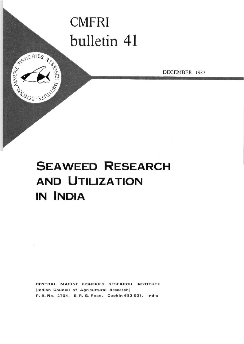# **CMFRI**  bulletin 41

REAL PIES RE

DECEMBER 1987



**CENTRAL MARINE FISHERIES RESEARCH INSTITUTE (Indian Council of Agricultural Research) P. B. No. 2704 , E. R. G. Road, Cochin 68 2 031 , India**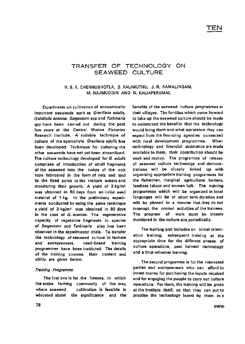# TRANSFER OF TECHNOLOGY ON SEAWEED CULTURE

## V. S. K. CHENNUBHOTLA, S. KALIMUTHU, J. R. RAMALINGAM, M. NAJMUDDIN AND N. KALIAPERUMAL

Experiments on cultivation of economically important seaweeds such as Gracilaria edulis, Gelidiella acerosa, Sargassum spp and Turbinaria spp have been carried out during the past few years at the Central Marine Fisheries Research Institute. A suitable technique of culture of the agarophyte Gracilaria edulis has been developed. Technique for culturing the other seaweeds have not yet been streamlined. The culture technology developed for G. edulis comprises of introduction of small fragments of the seaweed into the twists of the coir rope fabricated in the form of nets and tied to the fixed poles in the inshore waters and monitoring their growth. A yield of  $3 \text{ kg/m}^2$ was obtained in 60 days from an initial seed material of 1 kg. In the preliminary experiments conducted by using the same technique a yield of 3 kg/m<sup>2</sup> was obtained in 80 days in the case of G. acerosa. The regenerative capacity of vegetative fragments in species of Sargassum and Turbinaria also has been observed in the experimental trials. To transfer the technology of seaweed culture to farmers and entrepreneurs, need-based training programmes have been instituted. The details of the training courses, their content and utility are given below.

#### Training Programme

The first one is for the farmers, in which the entire farming community of the area where seaweed cultivation is feasible is educated about the significance and the benefits of the seaweed culture programmes in their villages. The families which come forward to take up the seaweed culture should be made to understand the benefits that the technology would bring them and what assistance they can expect from the financing agencies connected with rural development programmes. When technology and financial assistance are made available to them, their contribution should be work and money. The programme of release of seaweed culture technology and demonstrations will be closely linked up with organising appropriate training programmes for the fishermen, marginal agricultural farmers, landless labour and women folk. The training programmes which will be organized in local languages will be of short term duration and will be phased in a manner that they do not interrupt the normal activities of the trainees. The progress of work must be closely monitored in the culture site periodically.

The training part includes an initial orientation training, subsequent training at the appropriate time for the different phases of culture operations, post harvest technology and a final refresher training.

The second programme is for the interested parties and entrepreneurs who can afford to invest money for purchasing the inputs required and for engaging the people to carry out culture operations. For them, the training will be given at the institute itself, so that they can put to practise the technology learnt by them in a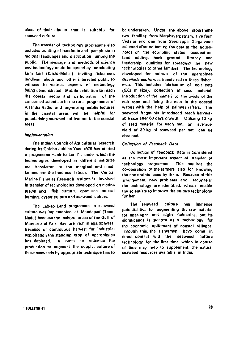place of their choice that is suitable for seaweed culture.

The transfer of technology programme also includes printing of handouts and pamphlets in regional languages and distribution among the public. The message and methods of science and technology could be spread by conducting farm fairs (Krishi-Melas) inviting fishermen, landless labour and other interested public to witness the various aspects of technology being demonstrated. Mobile exhibition to reach the coastal sector and participation of the concerned scientists in the rural programmes of All India Radio and organizing public lectures in the coastal areas will be helpful for popularising seaweed cultivation in the coastal areas.

#### Implementation

The Indian Council of Agricultural Research during its Golden Jubiles Year 1979 has started a programme "Lab-to-Land", under which the technologies developed in different Institutes are transferred to the marginal and small farmers and the landless labour. The Central Marine Fisheries Research Institute is involved in transfer of technologies developed on marine prawn and fish culture, open-sea mussel farming, oyster culture and seaweed culture.

The Lab-to-Land programme in seaweed culture was implemented at Mandapam (Tamil Nadu) because the inshore areas of the Gulf of Mannar and Palk Bay are rich in agarophytes. Because of continuous harvest for industrial exploitation the standing crop of agarophytes has depleted. In order to enhance the production to augment the supply, culture of these seaweeds by appropriate technique has to

be undertaken. Under the above programme two families from Marakayarpatnam, five form Vedalai and one from Seeniappa Darga were selected after collecting the data of the households on the economic status, occupation, land holding, back ground literacy and leadership qualities for spreading the new technologfes to other families. The technology developed for culture of the agarophyte Gracilaria edulis was transferred to these fishermen. This includes fabrication of coir nets (5X2 m size), collection of seed material, introduction of the same into the twists of the coir rope and fixing the nets in the coastal waters with the help of palmyra rafters. The seaweed fragments introduced reach harvestable size after 60 days growth. Utilizing 10 kg of seed material for each net, an average yield of 30 kg of seaweed per net can be obtained.

#### Collection of Feedback Data

Collection of feedback data is considered as the most important aspect of transfer of technology programme. This requires the co-operation of the farmers also for knowing the constraints faced by them. Because of this arrangement, new problems and lacunae in the technology are identified, which enable the scientists to improve the culture technology further.

The seaweed culture has immense potentialities for augmenting the raw material for agar-agar and algin industries, but its significance is greatest as a technology for the economic upliftment of coastal villages. Through this, the fishermen have come in direct contact with the seaweed culture technology for the first time which in course of time may help to supplement the natural seaweed resources available in India.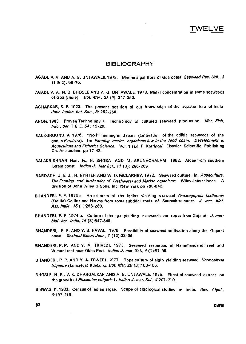### BIBLIOGRAPHY

- AGADI, V. V. AND A. G. UNTAWALE. 1978. Marine algal flora of Goa coast. Seaweed Res. Util., 3  $(1 8 2): 56-70.$
- AGADI, V. v., N. B. BHOSLE AND A. G. UNTAWALE. 1978. Metal concentration in some seaweeds of Goa (India). Bot. Mar, 21 (4); 247-250.
- AGHARKAR, S. P. 1923. The present position of our knowledge of the aquatic flora of India-Jour. Indian, bot. Soc, 3: 252-260.
- ANON, 1983. Proven Technology 7. Technology of cultured seaweed production. Mar. Fish. Infor. Ser. T & E. 54: 19-20.
- BACKGROUND, A 1976. "Nori" farming in Japan (cultivation of the edible seaweeds of the genus Porphyra). In: Farming marine organisms low in the food chain. Development in Aquaculture and Fisheries Science. Vol. 1 (Ed. P. Korringa) Elsevier Scientific Publishing Co. Amsterdam, pp 17-48.
- BALAKRISHNAN Nair, N., N. SHOBA AND M. ARUNACHALAM. 1982. Algae from southern Kerala coast. *Indian J. Mar Sci.*, 11 (3): 266-269.
- BARDACH, J. E. J., H. RYHTER AND W. O. MCLARNEY. 1972. Seaweed culture. In: Aquaculture. The Farming and husbandry of Freshwater and Marine organisms. Wiley-lnterscience. A division of John Wiley & Sons, Inc. New York pp 790-840.
- BHANDERI, P. P. 1974 a. An estimate of the jodina yielding saawaad Asparagopsis taxiformis (Delile) Collins and Harvey from some subtidal reefs of Saurashtra coast. J. mar. biol. Ass. India., 75 (1):288-289.
- BHANDERI, P. P. 1974 b. Culture of the agar yielding seaweeds on ropes from Gujarat. J. marbiol. Ass. India, 16 (3):847-849.
- BHANDERI, P. P. AND Y. B. RAVAL. 1975. Possibility of seaweed cultivation along the Gujarat coast Seafood Export Jour., 7 (12):33-36.
- BHANDERI, P. P. ANDY. A. TRIVEDI. 1975. Seaweed resources of Hanumandandi reef and Vumani reef near Okha Port. Indian J. mar. Sci.. 4 (1):97-99.
- BHANDERI, P. P. AND Y. A. TRIVEDI. 1977. Rope culture of algin yielding seaweed Hormophysa triquetra (Linnaeus) Kuetzing. Bot. Mar. 20 (3):183-185.
- BHOSLE, N. B., V. K. DHARGALKAR AND A. G. UNTAWALE. 1975. Effect of seaweed extract on the growth of Phaseolus vulgaris L. Indian J. mar. Sci., 4:207-210.
- BISWAS, K. 1932. Census of Indian algae. Scope of algological studies in India. Rev. Algol., 5:197-219.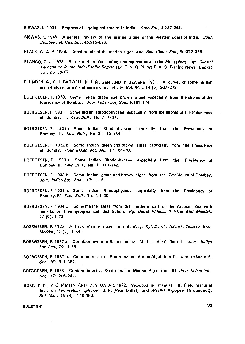- BISWAS, K. 1934. Progress of algological studies in India. Curr. Sci., 3:237-241.
- BISWAS, K. 1945. A general review of the marine algae of the western coast of India. Jour. Bombay nat. Hist. Soc. 45:515-530.
- BLACK, W. A. P. 1954. Constituents of the marine algae. Ann. Rep. Chem. Soc., 50:322-335.
- BLANCO, G. J. 1973. Status and problems of coastal aquaculture in the Philippines. In: Coastal Aquaculture in the Indo-Pacific Region (Ed. T. V. R. Pillay) F. A. O. Fishing News (Books) Ltd., pp. 60-67.
- BLUNDEN, G., C. J. BARWELL, K. J. FIDGEN AND K. JEWERS. 1981. A survey of some British marine algae for anti-influenza virus activity. Bot. Mar., 14 (5): 267-272.
- BOERGESEN, F. 1930. Some Indian green and brown algae especially from the shores of the Presidency of Bombay. Jour. Indian bot, Soc., 9:151-174.
- BOERGESEN, F. 1931. Some Indian Rhodophyceae especially from the shores of the Presidency of Bombay-I. Kew. Bull., No. 1: 1-24.
- BOERGESEN, F. 1932a. Some Indian Rhodophyceae especially from the Presidency of Bombay—II. Kew. Bull., No. 3: 113-134.
- BOERGESEN, F. 1932 b. Some Indian green and brown algae especially from the Presidency of Bombay. Jour. Indian. bot. Soc., 11: 51-70.
- BOERGESEN, F. 1933 a. Some Indian Rhodophyceae especially from the Presidency of Bombay 111. Kew. Bull., No. 3: 113-142.
- BOERGESEN, F. 1933 b. Some Indian green and brown algae from the Presidency of Bombay. Jour. Indian bot. Soc, 12. 1-16.
- BOERGESEN, F. 1934 a. Some Indian Rhodophyceae especially from the Presidency of Bombay-IV. Kew. Bull., No. 4: 1 -30.
- BOERGESEN, F. 1934 b. Some marine algae from the northern part of the Arabian Sea with remarks on their geographical distribution. Kgl. Dansk. Vidensk. Selskab. Biol. Meddel. 11 (6):1-72.
- BOERGESEN, F. 1935. A list of marine algae from Bombay. Kgl. Dansk. Vidansk. Salskab Biol Meddel., 12 (2): 1-64.
- BOERGESEN, F. 1937 a. Contributions to a South Indian Marine Algal flora-1. Jour. Indian bot. Soc, 16: 1 -56.
- BOERGESEN, F. 1937 b. Contributions to a South Indian Marine Algal flora-11. Jour. Indian bot. Soc., 16: 311-357.
- BOERGESEN, F. 1938. Contributions to a South Indian Marine Algal flora-III. Jour. Indian bot. Soc., 17: 205-242.
- BOKIL, K. K., V. C. MEHTA AND D. S. DATAR. 1972. Seaweed as manure. Ill, Field manurial trials on Pennisetum typhoides S. H. (Pearl Millet) and Arachis hypogea (Groundnut). Bot. Mar.. 15 (3): 148-150.

**BULLETIN 41** 83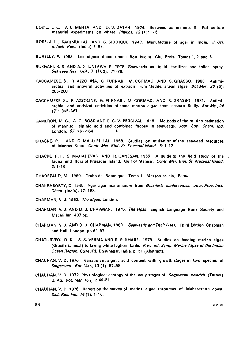- BOKIL, K. K., V. C. MEHTA AND D. S. DATAR. 1974. Seaweed as manure: II. Pot culture manurial experiments on wheat. Phykos, 13  $(1)$ : 1 5.
- BOSE, J. L., KARIMULLAH AND S. SIDDIQUE. 1943. Manufacture of agar in India. J. Sci. Industr. Res., (India) 7: 98.
- BURELLY, P. 1968. Les algues d'eau douce Bou bee et. Cie, Paris. Tomes 1, 2 and 3.
- BUKHARI, S. S. AND A. G. UNTAWALE. 1978. Seaweeds as liquid fertilizer and foliar spray. Seaweed Res. Util., 3 (1&2): 71-78.
- CACCAMESE, S., R. AZZOLINA, G. FURNARI, M. CORMACI AND S. GRASSO. 1980. Antimicrobial and antiviral activities of extracts from Mediterranean algae. Bot Mar, 23 (5): 285-288.
- CACCAMESE, S., R. AZZOLINE, G. FURNARI, M. CORMACI AND S. GRASSO. 1981. Antimicrobial and antiviral activities of some marine algae from eastern Sicily. Bot Ma., 24 (7): 365-367.
- CAMERON, M. C., A. G. ROSS AND E. G. V. PERCIVAL. 1948. Methods of the routine estimation of mannitol, alginic acid and combined fucose in seaweeds. Jour. Soc. Chem. Ind. London, 67: 161-164. 4
- CHACKO, P. I. AND C. MALU PILLAI. 1958. Studies on utilisation of the seaweed resources of Madras State. Contr. Mar. Biol. St. Krusadai Island, 6:1-12.
- CHACKO, P. I., S. MAHADEVAN AND R. GANESAN, 1955. A guide to the field study of the  $\sqrt{ }$ fauna and flora of Krusadai Island, Gulf of Mannar. Contr. Mar. Biol. St. Krusadai Island, 3: 1-16.
- CHADEFAUD, M. 1960. Traite de Botanique, Tome 1, Masson et. cie, Paris.
- CHAKRABORTY, D. 1945. Agar-agar manufacture from Gracilaria confervoides. Jour. Proc. Inst. Chem. (India), 17: 188.
- CHAPMAN, V. J. 1962. The algae, London.
- CHAPMAN, V. J. AND D. J. CHAPMAN. 1975. The algae. English Language Book Society and Macmillan, 497 pp.
- CHAPMAN, V. J. AND D. J. CHAPMAN, 1980. Seaweeds and Their Uses. Third Edition, Chapman and Hall, London, pp 62 97.
- CHATURVEDI, D. K., S. S. VERMA AND S. P. KHARE. 1979. Studies on feeding marine algae (Gracilaria meal) to laying white leghorn birds, Proc. Int. Symp. Marine Algae of the Indian Ocean Region, CSMCRI, Bhavnagar, India, p. 51 (Abstract).
- CHAUHAN, V. D. 1970. Variation in alginic acid content with growth stages in two species of Sargassum. Bot. Mar., 73 (1): 57-58.
- CHAUHAN, V. D. 1972. Physiological ecology of the early stages of Sargassum swartzii (Turner) C. Ag. Bot. Mar. 75(1): 49-51.
- CHAUHAN, V. D. 1978. Report on the survey of marine algae resources of Maharashtra coast. Salt. Res. Ind., 74(1): 1-10.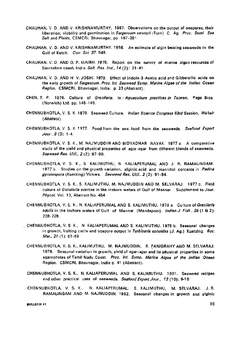- CHAUHAN, V D. AND V. KRISHNAMURTHY. 1967. Observations on the output of oospores, their liberation, viability and germination in Sargassum swartzii (Turn) C. Ag. Proc. Semi. Sea Salt and Plants, CSMCRI, Bhavnagar, pp. 197-201.
- CHAUHAN, V. D. AND V. KRISHNAMURTHY. 1968. An estimate of algin bearing seaweeds in the Gulf of Kutch. Curr. Sci 37: 648.
- CHAUHAN, V. D. AND 0. P. MAIRH. 1978. Report on the survey of marine algae resourcss of Saurashtra coast, India. Salt. Res. Ind., 14 (2): 21-41.
- CHAUHAN, V. D. AND H. V. JOSHI. 1979. Effect of Indole-3-Acetic acid and Gibberellic acids on the early growth of Sargassum. Proc. Int. Seaweed Symp. Marine Algae of the Indian Ocean Region. CSMCRI, Bhavnagar, India, p. 23 (Abstract).
- CHEN, T. P. 1976. Culture of Gracilaria. In : Aquaculture practices in Taiwan. Page Bros. (Norwich) Ltd. pp. 145-149.
- CHENNUBHOTLA, V. S. K. 1976. Seaweed Culture. Indian Science Congress 63rd Session, Waltair {Abstract).
- CHENNUBHOTLA, V. S. K. 1977. Food from the sea: food from the seaweeds. Seafood Export Jour., 9 (3): 1-4.
- CHENNUBHOTLA, V. S. K., M'. NAJMUDDIN AND BIDYADHAR NAYAK. 1977 a. A comparative study of the yield and physical properties of agar-agar from different blends of seaweeds. Seaweed Res. Util., 2 (2): 87-90.
- CHENNUBHOTLA, V. S. K., S. KALIMUTHU, N. KALIAPERUMAL AND J. R. RAMALINGAM. 1977 b. Studies on the growth variation, alginic acid and mannitol contents in *Padina* gymnospora (Kuetzing) Vickers. Seaweed Res. Util.. 2 (2): 91-94.
- CHENNUBHOTLA, V. S. K., S. KALIMUTHU, M. NAJMUDDIN AND M, SELVARAJ. 1977 c. Field culture of Gelidiella acerosa in the inshore waters of Gulf of Mannar. Supplement to Jour. Phycol. Vol. 13, Abstract No. 454.
- CHENNUBHOTLA, V. S. K., N. KALIAPERUMAL AND S. KALIMUTHU. 1978 a. Culture of Gracilaria edulis in the inshore waters of Gulf of Mannar (Mandapam). Indian J. Fish.,  $25$  (1 & 2): 228-229.
- CHENNUBHOTLA, V. S. K., N. KALIAPERUMAL AND S. KALIMUTHU. 1978 b. Seasonal changes in growth, fruiting cycle and oospore output in Turbinaria conoides (J. Ag.) Kuetzing. 8ot. Mar., 21 (1): 67-69
	- CHENNUBHOTLA, V. S. K., KALIMUTHU, M. NAJMUDDIN, R. PANIGRAHY AND M. SELVARAJ. 1979. Seasonal variation in growth, yield of agar-agar and its physical properties in some agarophytes of Tamil Nadu Coast. Proc. Int. Symp. Marine Algae of the Indian Ocean Region. CSMCRI, Bhavnagar, India p. 41 (Abstract).
- CHENNUBHOTLA, V. S. K., N. KALIAPERUMAL AND S. KALIMUTHU. 1981. Seaweed recipes and other practical uses of seaweeds. Seafood Export Jour., 13 (10): 9-16<sup>-1</sup>
- CHENNUBHOTLA, V. S. K., N. KALIAPERUMAL, S. KALIMUTHU, M. SELVARAJ, J . R. RAMALINGAM AND M. NAJNUDDIN. 1982. Seasonal changes in growth and aiginic

**BULLETIN 41** 85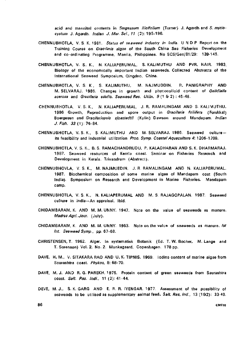acid and mannitol contents in Sargassum ilicifolium (Turner) J. Agardh and S. myriocystum J. Agardh. Indian J. Mar. Sci., 11 (2): 195-196.

- CHENNUBHOTLA, V. S. K. 1981. Status of seaweed industry in India. UND P Report on the Training Course on Gracilaria aigae of the South China Sea Fisheries Development and co-ordinating Programme, Manila, Philippines. No SCS/Gen/81/29: 139-145.
- CHENNUBHOTLA, V. S. K., N. KALIAPERUMAL, S. KALIMUTHU AND PVR. NAIR. 1983. Biology of the economically important Indian seaweeds. Collected Abstracts of the International Seaweed Symposium, Qingdao, China.
- CHENNUBHOTLA, V. S. K , S. KALIMUTHU, M. NAJMUDDIN, R. PANIGRAPHY AND M. SELVARAJ. 1986. Changes in growth and phycocolloid content of Gelidiella acerosa and Gracilaria edulis. Seaweed Res. Utiln. 9 (1 & 2) : 45-48.
- CHENNUBHOTLA, V. S. K., N. KALIAPERUMAL, J. R. RAMALINGAM AND S. KALI VIUTHU. 1986 Growth, Reproduction and spore output in Gracilaria foliifera (Forskkal) Boergesen and Gracilariopsis sjoestedtii (Kylin) Dawson around Mandapam. Indian J. Fish. 53 (1): 76-84.
- CHENNUBHOTLA, V. S. K., S. KALIMUTHU AND M. SELVARAJ. 1986. Seaweed cultureits feasibility and industrial utilization Proc. Symp. Coastal Aquaculture 4: 1206-1209.
- CHENNUBHOTLA, V. S. K., B. S. RAMACHANDRUDU, P. KALADHARAN AND S. K. DHARMARAJ. 1987. Seaweed resources of Kerala coast. Seminar on Fisheries Research and Development in Kerala. Trivandrum (Abstract).
- CHENNUBHOVLA, V. S. K., M. NAJMUEDIN, J. R. RAMALINGAM AND N. KALIAPERUMAL. 1987. Biochemical composition of some marine algae of Mandapam cost (South India). Symposium on Research and Development in Marine Fisheries. Mandapam camp.
- CHENNUBHOTLA, V. S. K., N. KALIAPERUMAL AND M. S. RAJAGOPALAN. 1987. Seaweed culture in india—An appraisal. Ibid.
- CHIDAMBARAM, K. AND M. M. UNNY. 1947. Note on the value of seaweeds as manure. Madras Agri. Jour. (July).
- CHIDAMBARAM, K. AND M. M. UNNY. 1953. Note on the value of seaweeds as manure. Ist Int. Seaweed Symp., pp. 67-68.
- CHRISTENSEN, T. 1962. Alger. In systematisk Botanik (Ed. T. W. Bocher, M. Lange and T. Sorenson) Vol.2. No. 2. Munkagaard, Copenhagen. 178 pp.
- DAVE, H. M., V. SITAKARA RAO AND U. K. TIPNIS. 1969. Iodine content of marine algae from Saurashtra coast. Phykos, 8: 68-70.
- DAVE, M.J. AND R. G. PAREKH. 1975. Protein content of green seaweeds from Saurashtra coast. Salt. Res. Indi., 11 (2): 41-44.
- DEVE, M. J., S. K. GARG AND E. R. R. IYENGAR. 1977. Assessment of the possibility of seaweeds to be utilised as supplementary animal feed.  $Salt$ . Res. Ind., 13 (1&2): 33-40.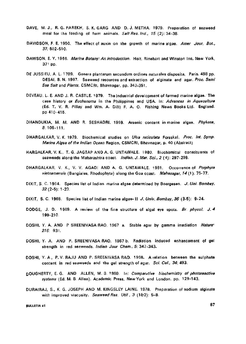- DAVE, M. J., R. G. PAREKH, S. K. GARG AND D. J. METHA. 1979. Preparation of seaweed meal for the feeding of farm animals. Salt Res. Ind.,  $15$  (2): 34-38.
- DAVIDSON, F. E. 1950. The effect of auxin on the growth of marine algae. Amer Jour. Bot., 57.'502-510.
- DAWSON, E. Y. 1966. Marine Botany: An introduction. Holt, Rinehart and Winston Inc, New York.  $37!$  pp.
- DE JUSSIEU, A. L. 1 789. Genera plantarum secundum ordines naturales disposita, Paris. 498 pp. DESAI, B. N. 1967. Seaweed resources and extraction of alginate and agar. Proc. Semi Sea Salt and Plants, CSMCRI, Bhavnagar, pp. 343-351.
- DEVEAU, L. E. AND J. R. CASTLE. '979. The industrial development of farmed marine algae. The case history or *Euchenuma* in the Philippines and USA. In: Advances in Aquaculture (Ed. T. V. R. Pillay and Wm. A. Dill) F. A. 0. Fishing News Books Ltd. England, pp 410-415.
- DHANDUKIA, M. M. AND R. SESHADRI. 1969. Arsenic content in marine algae. Phykosa, 8: 108-111.
- DHARGALKAR, V. K. 1979. Biochemical studies on Ulva reticulata Forsskal. Proc. Int. Symp. Marine Algae of the Indian Ocean Region, CSMCRI, Bhavnagar, p. 40 (Abstract)
- HARGALKAR, V, K., T. G. JAGTAP AND A. G. UNTAWALE. 1980. Biochemical constituents of seaweeds along the Maharashtra coast. Indian. J. Mar. Sci., 2 (4): 297-299.
- DHARGALKAR, V. K., V. V. AGADI AND A. G. UNTAWALE. 1981. Occurrence of Porphyra vietnamensis (Bangiales, Rhodophyta) along the Goa coast. Mahasagar, 14 (1); 75-77.
- DIXIT, S. C. 1964. Species list of Indian marine algae determined by Boergesen. J. Uni. Bombay. 32(2-5): 1-23.
- DIXIT, S. C. 1968. Species list of Indian marine algae- II J. Univ. Bombay, 36 (3-5): 9-24.
- DODGE, J. D. 1969. A review of the fine structure of algal eye spots. Br. phycol. J. 4 199-210
- DOSHI, Y. A. AND P SREENIVASA RAO. 1967 a. Stable agar by gamma irradiation Nature' 216: 931.
- DOSHI, Y. A. AND P. SREENIVASA RAO. 1967 b. Radiation induced enhancement of gel strength in red seaweeds. Indian Jour Chem., 5: 342-343.
- DOSHI, Y. A., P. V. RAJU AND P. SREENIVASA RAO. 1968. A relation between the sulphate content in red seaweeds and the gel strength of agar. Sci. Cul., 34: 493.
- DOUGHERTY, E. G. AND ALLEN, M. B. 1960. In: Comparative biochemistry of photoreactive systems (Ed. M. B. Allen). Academic Press, New York and London. pp. 129-143.
- DURAIRAJ, S., K. G. JOSEPH AND M. KINGSLEY LAINE. 1978. Preparation of sodium alginate with improved viscosity. Seaweed Res. Util, 3 (1&2): 5-8.

**^ULLEtlN 41** 87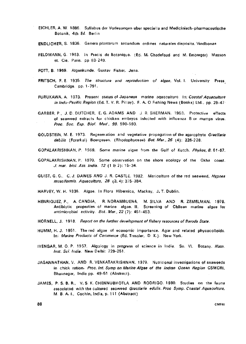- EICHLER, A. W. 1886. Syllabus der Vorlesunqen uber speciella and Medicinisch-pharmaceutische Botanik, 4th Ed. Berlin
- ENDLICHER, S. 1836. Genera plantarum secundum ordines naturales disposita. Vindbonae
- FELDMANN, G. 1963. In Precis de Botanique. (Ed. M. Chadefaud and M. Emberger) Masson et. Cie, Paris, pp 83-249.
- FOTT, B. 1959. Algenkunde, Gustav Fisher, Jena.
- FRITSCH, F. E. 1935. The structure and reproduction of algae, Vol. I. University Press Cambridge, pp. 1 -791.
- FURUKAWA, A. 1973. Present status of Japanese marine aquaculture. In: Coastal Aquaculture in Indu-Pacific Region (Ed. T. V. R. Pillay). F. A. 0 Fishing News (Books) Ltd., pp, 29-47-
- GARBER, P., J. D. DUTCHER, E.G.ADAMS AND J R. SHERMAN. 1958. Protective effects of seaweed extracts for chicken embryos infected with influenza B or mumps virus. Proc. Soc. Exp. Biol. Med, 99. 590-593.
- GOLDSTEIN, M. E. 1973. Regeneration and vegetative propagation of the agarophyte Gracilaria debilis (Forsrkal) Boergesen. (Rhodophyceae) Bot. Mar., 26 (4): 226-228.

GOPALAKRISHNAN, P. 1969. Some marine algae from the Gulf of Kutch. Phykos, 8: 61-67.

- GOPALAKRISHNAN, P. 1970. Some observation on the shore ecology of the Okha coast. J. mar. biol. Ass. India. 12 (1 & 2): 15-34.
- GUIST, G. G., C. J. DAWES AND J. R. CASTLE. 1982. Mariculture of the red seaweed, Hypnea musciformis. Aquaculture, 28 (3, 4): 375-384.
- HARVEY, W. H. 1836. Algae. In Flora Hibernica, Mackay, J. T. Dublin.
- HENRIQUEZ, P., A. CANDIA, R. NORAMBUENA, M. SILVA AND R. ZEMELMAN. 1979. Antibiotic properties of marine algae. II. Screening of Chilean marine algae for antimicrobial activity. Bot. Mar., 22 (7):  $451-453$ .
- HORNELL, J. 1918. Report on the further development of fishery resources of Baroda State.
- HUMM, H. J, 1951. The red algae of economic importance. Agar and related phycocolloids. In: Marine Products of Commerce (Ed. Tressler, D K,). New York.
- IYENGAR, M. O. P. 1957. Algology in progress of science in India. Sn. VI. Botany. Natn. Inst. Sci. India. New Delhi: 229-251.
- JAGANNATHAN, V. AND R. VENKATAKRISHNAN, 1979. Nutritional investigations of seaweeds in chick ration. Proc. Int. Symp on Marine Algae of the Indian Ocean Region CSMCRI, Bhavnagar, India pp. 49-51 (Abstract).
- JAMES, P. S. B. R., V. S. K. CHENNUBHOTLA AND RODRIGO. 1980. Studies on the fauna associated with the cultured seaweed Gracilaria edulis. Proc Symp. Coastal Aquaculture, M. B. A. I., Cochin, India, p. 111 (Abstract)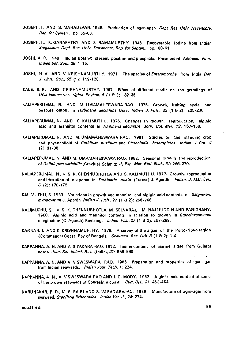- JOSEPH, I. AND S. MAHADEVAN, 1948. Production of agar-agar. *Dept. Res. Univ. Travancore*, Rep. for Septen, pp. 55-60.
- JOSEPH, I., K. GANAPATHY AND S RAMAMURTHY. 1948. Recoverable iodine from Indian Sargassum. Dept. Res. Univ. Travancore, Rep. for Septen., pp. 60-61.
- JOSHI, A. C. 1949. Indian Botany; present position and prospects. Presidential Address. Four. Indian hot. Soc, 28: 1-15,
- JOSHI, H. V. AND V. KRISHNAMURTHY. 1971. The species of *Enteromorpha* from India Bot. J. Linn. Soc. 65 (1): 119-128.
- KALE, S. R. AND KRISHNAMURTHY, 1967. Effect of different media on the germlings of Ulva lactuca var. rigida. Phykos, 6 (1 & 2): 32-35.
- KALIAPERUMAL, N. AND M. UMAMAHESWARA RAO. 1975. Growth, fruiting cycle and oospore output in Turbinaria decurrens Bory. Indian J. Fish., 22 (1 & 2): 225-230.
- KALIAPERUMAL, N. AND S. KALIMUTHU. 1976. Changes in growth, reproduction, alginic acid and mannitol contents in Turbinaria decurrens Bory. Bot. Mar., 19: 157-159.
- KALIAPERUMAL, N. AND, M. UMAMAHESWARA RAO. 1981. Studies on the standing crop and phycocolloid of Gelidium pusillum and Pterocladia heteroplatos Indian J. Bot., 4 (2): 91-95.
- KALIAPERUMAL, N.AND M. UMAMAHESWARA RAO. 1982, Seasonal growth and reproduction of Gelidiopiss variabilis (Greville) Schmitz J, Exp. Mar. Biol. Ecol., 61: 265-270.
- KALIAPERUMAL, N., V. S. K. CHENNUBHOTLA AND S. KALIMUTHU. 1977. Growth, reproduction and liberation of oospores in Turbinaria ornata (Turner) J. Agardh. Indian. J. Mar. Sci., 6. (2): 178-179.
- KALIMUTHU, S. 1980. Variations in growth and mannitol and alginic acid contents of Sargassum myriocystum J, Agardh Indian J. Fish , 27 (1 & 2): 265-266.
- KALIMUTHU, S., V. S. K. CHENNUBHOTLA. M. SELVARAJ, M. NAJMUDDIN AND PANIGRAHY, 1980. Alginic acid and mannitol contents in relation to growth in Stoechospermum marginatum (C. Agardh) Kuetzing. Indian Fish, 27 (1 & 2): 267-269.
- KANNAN, L. AND K. KRISHNAMURTHY. 1978. A survey of the algae of the Porto-Novo region (Coromandel Coast. Bay of Bengal). Seaweed. Res. Util. 5 (1 & 2): 1-4.
- KAPPANNA, A. N. AND V. SITAKARA RAO. 1932. Iodine content of marine algae from Gujarat coast. Jour. Sci. Indust. Res. (India), 21: 559-560.
- KAPPANNA, A. N.AND A. VISWESWARA RAO. 1963. Preparation and properties of agar-agar from Indian seaweeds. Indian Jour. Tech. 1: 22A.
- KAPPANNA, A. N,, A. VISWESWARA RAO AND I. C. MODY. 1962. Alginic acid content of some of the brown seaweeds of Sourashtra coast. Curr. Sci., 31: 463-464.
- KARUNAKAR, P. D., M. S. RAJU AND S. VARADARAJAN. 1948. Manufacture of agar-agar from seaweed, Gracilaria lichenoides. Indian Vet. J., 24: 274.

BJLLETIN 41 89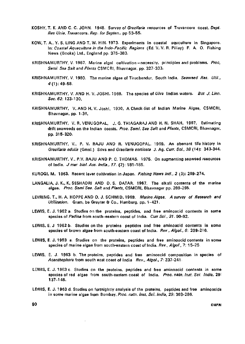- KOSHY. T. K. AND C. C. JOHN. 1948. Survey of Gracilaria resources of Travancore coast. Dept. Res Unia. Travancore. Rep. for Septen.. pp 53-55.
- KOW, T. A., Y. S. LING AND T. W. HIN. 1973. Experiments in coastal aquculture in Singapore. In: Coastal Aquaculture in the Indo-Pacific Regions (Ed. V. V. R. Pillay) F. A. O. Fishing News (Books) Ltd., England pp. 375-383.
- KRISHNAMURTHY, V. 1967. Marine algal cultivation-necessity, principles and problems. Proc, Semi. Sea Salt and Plants CSMCRI, Bhavnagar, pp. 327-333.
- KRISHNAMURTHY, V. 1980. The marine algae of Tiruchendur, South India. Seaweed Res. Util., 4(1): 49-58.
- KRISHNAMURTHY, V. AND H. V. JOSHI. 1969. The species of Ulva Indian waters. Bot J. Linn. Soc.62: 123-130.
- KRISHNAMURTHY, V. AND H. V. Joshi. 1970. A Check-list of Indian Marine Algae, CSMCRI, Bhavnagar. pp. 1-36.
- KRISHNAMURTHY, V. R.VENUGOPAL. J. G. THIAGARAJ AND H. N. SHAH. 1957. Estimating drift seaweeds on the Indian coasts. Proc. Semi. Sea Salt and Plants, CSMCRI, Bhavnagar, pp. 315-320.
- KRISHNAMURTHY, V., P. V. RAJU AND R. VENUGOPAL. 1969. An aberrant life history in Gracilaria edulis (Gmel.) Silva and Gracilaria corticata J. Ag. Curr. Sci., 38 (14): 343-344.
- KRISHNAMURTHY, V., P.V. RAJU AND P. C. THOMAS. 1975. On augmenting seaweed resources of India. J mar biol. Ass. India., 17. (2): 181-185.
- KUROGI, M. 1963. Recent laver cultivation in Japan. Fishing News Intl., 2 (3): 269-274.
- LANGALIA, J. K., K. SESHADRI AND D. S. DATAR. 1967. The alkali contents of the marine algae. Proc. Semi Sea. Salt and Plants, CSMCRI, Bhavnagar pp. 289-295.
- LEVRING, T., H. A. HOPPE AND O. J. SCHMID. 1969. Marine Algae. A survey of Research and Utilization. Gram, be Gruyter & Co., Hamburg, pp. 1-421.
- LEWIS, E. J. 1962 a. Studies on the proteins, peptides, and free aminoacid contents in some species of Padina from south-eastern coast of India. Curr Sci., 31. 90-92.
- LEWIS, E. J 1962 b. Studies on the proteins peptides and free aminoacid contents in some species of brown algae from south-eastern coast of India. Rev., Algol., 6: 209-216.
- LEWIS, E. J. 1963 a. Studies on the proteins, peptides and free aminoacid contents in some species of marine algae from south-eastern coast of India. Rev., Algol., 7: 15-25.
- LEWIS, E. J. 1963 b. The proteins, peptides and free aminoacid composition in species of Acanthophora from south east coast of India Rev., Algol., 7: 237-241.
- LEWIS, E. J. 1963 c. Studies on the proteins, peptides and free aminoacid contents in some species of red algae from south-eastern coast of India. Proc. natn. Inst. Sci. India, 29: 137-145.
- LEWIS, E. J. 1963 d. Studies on fortnightly analysis of the proteins, peptides and free aminoacids in some marine algae from Bombay. Proc. natn. Inst. Sci. India, 29: 363-286.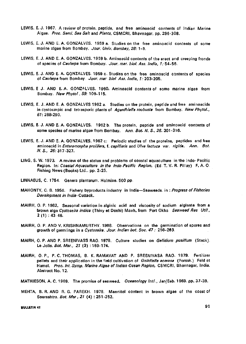- LEWIS, E. J. 1967. A review of protein, peptide, and free aminoacid contents of Indian Marine Algae. Proc. Semi. Sea Salt and Plants, CSMCRI, Bhavnagar, pp. 296-308.
- LEWIS, E. J. AND E. A. GONZALVES. 1959 a. Studies on the free aminoacid contents of some marine algae from Bombay, Jour. Univ. Bombay, 28: 1-5.
- LEWIS, E. J. AND E. A. GONZALVES. 1959 b. Aminoacid contents of the erect and creeping fronds of species of Caulerpa from Bombay. Jour. mar. biol. Ass. India, 1: 54-56.
- LEWIS, E. J. AND E. A. GONZALVES. 1959 c. Studies on the free aminoacid contents of species of Caulerpa from Bombay. Jour, mar biol Ass. India, 1: 203-205.
- LEWIS, E J. AND E. A. GONZALVES. I960. Aminoacid contents of some marine algae from Bombay. New Phytol, 59. 109-115.
- LEWIS, E. J. AND E. A. GONZALVES 1962 a. Studies on the protein, peptide and free aminoacids in cystocarpic and tetrasporic plants of Agardhiella roubusta from Bombay. New Phytol., 61: 288-290.
- LEWIS, E. J. AND E. A. GONZALVES. 1962 b. The protein, peptide and aminoacid contents of some species of marine algae from Bombay. Ann. Bot. N. S., 26. 301-316.
- LEWIS, E. J. AND E. A. GONZALVES. 1962 c: Periodic studies of the proteins, peptides and free aminoacid in Enteromorpha prolifera, f. capillaris and Ulva lactuca var. rigida. Ann. Bot. N.S., 26:317-327.
- LING, S. W. 1973. A review of the status and problems of coastal aquaculture in the Indo-Pacific Region. In: Coastal Aquaculture in the Indo-Pacific Region. (Ed. T. V. R. Pillay) F. A. O. Fishing News (Books) Ltd.. pp. 2-25.
- LINNAEUS, C. 1754. Genera plantarum. Holmiae. 500 pp
- MAHONTY, C. B. 1956. Fishery byproducts industry in India—Seaweeds. in: Progress of Fisheries Development in India-Cultack.
- MAIRH, 0. P. 1982. Seasonal variation in alginic acid and viscosity of sodium alginate from a brown alga Cystoseira indica (Thivy et Doshi) Mairh, from Port Okha Seaweed Res Util., 2(1) : 43-46.
- MAIRH, 0. P. AND V. KRISHNAMURTHY. 1968. Observations on the germination of spores and growth of germlings in a Cystoseira. Jour. Indian bot. Soc. 47: 256-263.
- MAIRH, O. P. AND P. SREENIVASS RAO. 1978. Culture studies on Gelidium pusillum (Stack). Le Jolis. Bot. Mar., 21 (3) : 169-174.
- MAIRH, 0. P., P.C.THOMAS, B. K. RAMAVAT AND P. SREENIVASA RAO. 1979. Fertilizer pellets and their application in the field cultivation of Gelidiella acerosa (Forssk.) Feld et Hamel. Proc. Int. Symp. Marine Algae of Indian Ocean Region, CSMCRI, Bhavnagar, India. Abstract No. 12.
- MATHIESON, A. C. 1969. The promise of seaweed. Oceanology Intl., Jan/Eeb. 1969. pp. 37-39.
- MEHTA, B. R. AND R. G. PAREKH. 1978. Mannitol content in brown algae of the coast of Sourashtra. Bot. Mar, 21 (4) : 251-252.

**BtilUETIN 41** 91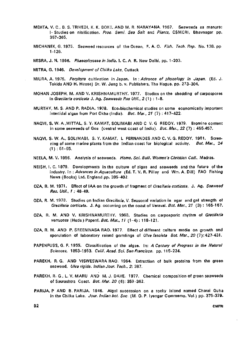- MEHTA, V. C, B. S. TRIVEDI, K. K. BOKIL AND M. R. NARAYANA. 1967. Seaweeds as manure: I- Studies on nitrification. Proc. Semi. Sea Salt and Plants. CSMCRI, Bhavnagar pp. 357-365.
- MICHANEK, G. 1975. Seaweed resources of the Ocean, F. A. O. Fish. Tech. Rep. No. 138. pp 1-126.

MISRA, J. N. 1966. Phaeophyceae in India. I. C. A R. New Delhi, pp. 1-203.

MITRA, G. 1946. Development of Chilka Lake, Cuttack

- MIURA, A. 1975. Porphyra cultivation in Japan. In: Advance of phycology in Japan. (Ed. J. Tokida AND H. Hirose) Dr. W. Jung b. v. Publishers, The Hague, pp. 273-304.
- MOHAN JOSEPH, M. AND V. KRISHNAMURTHY. 1977. Studies on the shedding of carpospores in Gracilaria corticata J. Ag. Seaweeds Res Util., 2(1) : 1-8.
- MURTHY, M. S. AND P. RADJA. 1978. Eco-biochemical studies on some economically important intertidal algae from Port Okha (India). Bot. Mar., 21 (7) : 417-422.
- NAQVI, S. W. A ,MITTAL, S. Y. KAMAT, SOLIMABI AND C V. G REDDY. 1979. Bromine content in some seaweeds of Goa (central west coast of India). Bot. Mar., 22 (7) : 455-457.
- NAQVI, S. W. A., SOLIMABI, S. Y. KAMAT, L FERNANDES AND C. V. G. REDDY. 1931. Screening of some marine plants from the Indian coast for biological activity. Bot. Mar.,  $24$  $(1): 51-55.$
- NEELA, M. V. 1956. Analysis of seaweeds. Home. Sci. Bull. Women's Christian Coll., Madras.
- NEISH, I. C. 1979. Developments in the culture of algae and seaweeds and the future of the industry. In : Advances in Aquaculture (Ed. T. V. R. Pillay and Wm. A. Dill) FAO Fishing News (Books) Ltd. England pp. 395-402.
- OZA, R. M. 1971. Effect of IAA on the growth of fragment of Gracilaria corticata, J. Ag. Seaweed Res. Util., 1 : 48-49.
- OZA, R. M. 1978. Studies on Indian Gracilaria. V. Seasonal variation in agar and gel strength of Gracilaria corticata. J. Ag. occurring on the coast of Veraval. Bot. Mar., 21 (3): 165-167.
- OZA, R. M. AND V. KRISHNAMURTHY. 1968. Studies on carposporic rhythm of Gracilaria verrucosa (Huds.) Papenf. Bot. Mar., 11 (1-4): 118-121.
- OZA, R. M. AND P. SREENIVASA RAO. 1977. Effect of different culture media on growth and sporulation of laboratory raised germlings of Ulva fasciata Bot. Mar., 20 (7): 427-431.
- PAPENFUSS, G. F. 1955. Classification of the algae. In: A Century of Progress in the Natural Sciences, 1853-1953. Calif. Acad. Sci. San Francisco, pp. 115-224.
- PAREKH, R. G. AND VISWESWARA RAO. 1964. Extraction of bulk proteins from the green seaweed, Ulva rigida. Indian Jour. Tech., 2: 387.
- PAREKH, R. G, L. V. MARU AND M.J.DAVE. 1977. Chemical composition of green seaweeds of Saurashtra Coast. Bot. Mar. 20 (6): 359-362.
- PARIJA, P AND B. PARIJA. 1946. Algal succession on a rocky island named Charai Guha in the Chilka Lake. Jour. Indian bot. Soc. (M. 0. P. Iyengar Commemo. Vol.) pp. 375-379.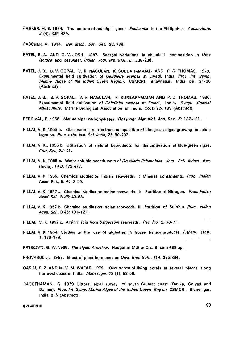- PARKER, H. S. 1974. The culture of red algal genus *Eucheume* in the Philippines Aquaculture, 3 (4): 425-439.
- PASCHER, A. 1914. Ber. dtsch. bot. Ges. 32,136.
- PATEL, B. A. AND G. V. JOSHI. 1967. Seasoni variations in chemical composition in Ulva lactuca and seawater. Indian. Jour. exp. Biol., 5: 236-238.
- PATEL, J. B., B. V. GOPAL, V. R. NAGULAN, K. SUBBARAMAIAH AND P. C. THOMAS. 1979. Experimental field cultivation of Gelidiella acerosa at Ervadi, India. Proc. Int Symp. Marine Algae of the Indian Ocean Region, CSMCRI, Bhavnagar, India, pp. 24-25 (Abstract).
- PATEL, J. B., B. V. GOPAL. V. R. NAGULAN, K SUBBARAMAIAH AND P. C. THOMAS, 1980. Experimental field cultivation of Gelidiella acerosa at Ervadi, India. Symp. Coastal Aquaculture, Marine Biological Association of India, Cochin p. 189 (Abstract).
- PERCIVAL, E. 1968. Marine algal carbohydrates. Oceanogr. Mar. biol. Ann. Rev., 6: 137-161.
- PILLAI, V. K. 1955 a. Observations on the ionic composition of bluegreen algae growing in saline lagoons. Proc. natn. Inst. Sci. India, 21: 90-102.
- PILLAI, v. K., 1955 b. Utilization of natural byproducts for the cultivation of blue-green algae. Curr. Sci., 24: 21.
- PILLAI, V. K. 1955 c. Water soluble constituents of Gracilaria lichenoides. Jour. Sci. Indust. Res. (India),  $14B.473.477.$
- PILLAI, V. K 1956. Chemical studies on Indian seaweeds. I: Mineral constituents. Proc. Indian Acad. Sci., B. 44: 3-29.
- PILLAI, V. K. 1957 a. Chemical studies on Indian seaweads. II: Partition of Nitrogen. Proc. Indian Acad. Sci.. B 45: 43-63.
- PILLAI, V. K. 1957 b. Chemical studies on Indian seaweeds. III: Partition of Sulphur. Proc. Indian Acad. Sci., B 45: 101-121.
- PILLAI, V. K. 1957 c. Alginic acid from Sargassum seaweeds. Res. Ind. 2: 70-71.
- PILLAI, V. K. 1964. Studies on the use of alginates in frozen fishery products. Fishery. Tech. ;: 176-179.
- PRESCOTT, G. W. 1968. The algae: A review. Haughton Mifflin Co., Boston 436 pp.
- PROVASOLI, L. 1957. Effect of plant hormones on Ulva, Biol. Bull., 114: 375-384.
- QASIM, S. Z. AND M. V. M. WAFAR. 1979. Occurrence of living corals at several places along the west coast of India. Mahasagar. 72 (1): 53-58.
- RAGOTHAMAN, G. 1979. Littoral algal survey of south Gujarat coast (Devka, Golvad and Daman), Proc. Int. Symp. Marine Algae of the Indian Ocean Region CSMCRI, Bhavnagar, India, p. 6 (Abstract).

#### **93 93**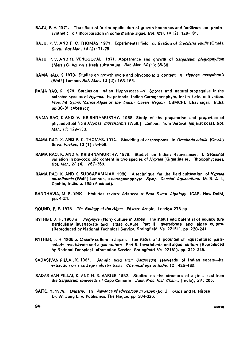- RAJU, p. V. 1971. The effect of in situ application of growth hormones and fertilizers on photosynthetic  $c^{14}$  incorporation in some marine algae. Bot. Mar. 14 (2): 129-131.
- RAJU, P. V. AND P. C. THOMAS. 1971. Experimental field cultivation of Gracilaria edulis (Gmel). Silva. Bot Mar., 14 (2): 71-75.
- RAJU, P. V. AND R. VENUGOPAL. 1971. Appearance and growth of Sargassum plagiophyllum (Mart.) C. Ag. on a fresh substratum. Bot. Mar. 14 (1): 36-38.
- RAMA RAO, K. 1970. Studies on growth cycle and phycocolloid content in Hypnea musciformis (Wulf.) Lamour. Bot. Mar.. 13 (2): 163-165.
- RAMA RAO, K. 1979. Studies on Indian Hypnesceae -- V. Spores and natural propagules in the selected species of Hypnea, the potential Indian Carrageenophyte, for its field cultivation. Proc. Int Symp. Marine Algae of the Indian Ocean Region. CSMCRI, Bhavnagar. India. pp 30-31 (Abstract).
- RAMA RAO, K AND V. KRISHNAMURTHY. 1968. Study of the preparation and properties of phycocolloid from Hypnea musciformis (Wulf.) Lamour. from Veraval, Gujarat coast, Bot. Mar., 11: 129-133.
- RAMA RAO, K. AND P. C. THOMAS. 1974. Shedding of carpospores in Gracilaria edulis (Gmel.) Silva. Phykos. 13 (1) : 54-59.
- RAMA RAO, K. AND V. KRISHNAMURTHY. 1978. Studies on Indian Hypneaceae. I. Seasonal variation in phycocolloid content in two species of *Hypnea* (Gigartinales, Rhodophyceae). Bot. Mar.. 21 (4): 257-259.
- RAMA RAO, K. AND K. SUBBARAMAIAH 1980. A technique for the field cultivation of Hypnea musciformis (Wulf.) Lamour., a carrageenophyte. Symp. Coastal Aquaculture. M. B. A. I., Cochin, India, p. 189 (Abstract).
- RANDHAWA, M. S. 1930, Historical review. Address; in: Proc. Symp. Algology. ICAR, New Delhi, pp. 4-24.
- ROUND, F. E. 1973. The Biology of the Algae, Edward Arnold, London-278 pp.
- RYTHER, J. H. 1968 a. Porphyra (Nori) culture in Japan. The status and potential of aquaculture particularly invertebrate and algae culture. Part II. Invertebrate and algae culture. (Reproduced by National Technical Service, Springfield. Va. 22151). pp. 228-241.
- RYTHER, J. H. 1968 b. Undaria culture in Japan. The status and potential of aquaculture; particularly invertebrate and algae culture. Part II. Invertebrate and algae culture (Reproduced by National Technical Information Service, Springfield. Va. 22151). pp. 242-248.
- SADASIVAN PILLAI, K. 1961. Alginic acid from Sargassum seaweeds of Indian coasts-Its extraction on a cottage industry basis. Chemical age of India, 12 : 425-430.
- SADASIVAN PILLAI, K. AND N. S. VARIER. 1952. Studies on the structure of alginic acid from the Sargassum seaweeds of Cape Comorin. Jour. Proc. Inst. Chem., (India), 24 : 205.
- SAITO, Y. 1975. Undaria. In: Advance of Phycology in Japan (Ed. J. Tokida and H. Hirose) Dr. W. Jung b. v. Publishers, The Hague, pp. 304-320.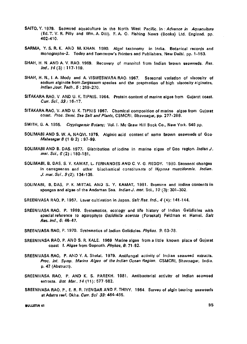- SAITO, Y. 1979. Seaweed aquaculture in the North West Pacific. In : Advence in Aquaculture (Ed. T. V. R. Pilly and Wm. A. Dill). F. A. 0. Fishing News (Books) Ltd. England, pp. 402-410.
- SARMA, Y. S. R. K. AND M. KHAN. 1980. Algal taxonomy in India. Botanical records and monogfaphs-2. Today and Tomorrow's Printers and Publishers, New Delhi, pp. 1 -153.
- SHAH, H. N. AND A. V. RAO. 1969. Recovery of mannitol from Indian brown seaweeds. Res.  $Ind., 14(3): 117-119.$
- SHAH, H. N., I. A. Mody and A. VISWESWARA RAO. 1967. Seasonal variation of viscosity of sodium alginate from Sargassum species and the preparation of high viscosity alginates, Indian Jour. Tech., 5 : 269-270.
- SITAKARA RAO, V. AND U. K. TIPNIS. 1964. Protein content of marine algae from Gujarat coast. Curr. Sci., 33 : 16-17.
- SITAKARA RAO, V. AND U. K. TIPNIS 1967. Chemical composition of marine algae from Gujarat coast. Proc. Semi. Sea Salt and Plants, CSMCRI, Bhavnagar, pp. 277-288.
- SMITH, G. A. 1955. Cryptogamic Botany; Vol. I. Mc Graw Hill Book Co., New York. 546 pp.
- SOLIMABI AND S. W. A, NAQVI. 1975. Alginic acid content of some brown seaweeds of Goa- $$
- SOLIMABI AND B. DAS. 1977. Distribution of iodine in marine algae of Goa region. Indian J. mar. Sci., 5(2) : 180-181.
- SOLIMABI, B. DAS, S. Y. KAMAT, L. FERNANDES AND C. V. G. REDDY. 1980. Seasonal changes in carrageenan and other biochemical constituants of Hypnea musciformis. Indian. J. mar. Sci.. 9 (2): 134-136.
- SOLIMABI, B. DAS, P. K. MITTAL AND S. Y. KAMAT, 1981. Bromine and iodine contents in sponges and algae of the Andaman Sea. Indian J. mar. Sci., 10 (3): 301-302.
- SREENIVASA RAO, P. 1967. Laver cultivation in Japan. Salt Res. Ind., 4 (4): 141-144.
- SREENIVASA RAO, P. 1969. Systematics, ecology and life history of Indian Gelidiales with special reference to agarophyte Gelidiella acerosa (Forsskal) Feldman et Hamel. Salt Res. Ind.. 6: 46-47.
- SREENIVASA RAO, P. 1970. Systematics of Indian Gelidiales. Phykos. 9: 63-78.
- SREENIVASA RAO, P. AND S. R. KALE. 1969 Marina algae from a little known place of Gujarat coast I. Algae from Gopnath. Phykos, 8: 71-82.
- SREENIVASA RAO, P. AND Y. A. Shelat. 1979. Antifungal activity of Indian seaweed extracts. Proc. Int. Symp. Marina Algae of the Indian Ocean Region. CSMCRI, Bhavnagar, India, p. 47 (Abstract).
- SREENIVASA RAO, P. AND K. S. PAREKH. 1981. Antibacterial activity of Indian seaweed extracts. Bot Mar., 14 (11): 577-582.
- SREENIVASA RAO, P., E. R. R. IYENGAR AND F. THIVY. 1964. Survey of algin bearing seaweeds at Adatra reef, Okha. Curr. Sci 33: 464-465.

**RULLETIN 41** 95 **b**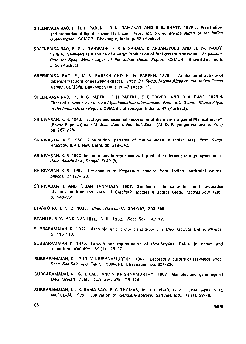- SREENIVASA RAO, P., H. H. PAREKH, B. K. RAMAVAT AND S. B. BHATT. 1979 a. Preparation and properties of liquid seaweed fertilizer. Proc. Int. Symp. Marine Algae of the Indian Ocean region. CSMCRI, Bhavnagar, India p. 57 (Abstract).
- SREENIVASA RAO, P., S. J. TARWADE, K. S. R. SARMA, K. ANJANEYULU AND H. M. MODY, 1979 b. Seaweed as a source of energy: Production of fuel gas from seaweed, Sargassum. Proc. Int Symp. Marine Algae of the Indian Ocean Region, CSMCRI, Bhavnagar, India. p. 56 (Abstract).
- SREENIVASA RAO, P., K. S. PAREKH AND H. H. PAREKH. 1979 c. Antibacterial activity of different fractions of seaweed extracts. Proc. Int. Symp. Marine Algae of the Indian Ocean Region, CSMCRI, Bhavnagar, India, p. 47 (Abstract).
- SREENIVASA RAO, P, K. S. PAREKH, H. H. PAREKH, S. B. TRIVEDI AND B. A. DAVE. 1979 d. Effect of seaweed extracts on Mycobacterium tuberculosis. Proc. Int. Symp. Marine Algae of the Indian Ocean Region, CSMCRI, Bhavnagar, India, p. 47 (Abstract).
- SRINIVASAN, K. S. 1946. Ecology and seasonal succession of the marine algae at Mahabalipuram (Seven Pagodas) near Madras. Jour. Indian, hot. Soc. (M. 0. P. Iyengar commemo. Vol ) pp.267-278.
- SRINIVASAN, K. S. 1950, Distribution patterns of marine algae in Indian seas Proc. Symp. Algology, ICAR, New Delhi, pp. 219-242.
- SRINIVASAN, K. S. 1965. Indian botany in retrospect with particular reference to algal systematics. Jour. Asiatic Soc, Bengal, 7: 49-78.
- SRINIVASAN, K. S. 1966. Conspectus of Sargassum species from Indian territorial waters. phykos, 5: 127-129.
- SRINIVASAN, R. AND T. SANTHANARAJA. 1967. Studies on the extraction and properties of agar-agar from the seawaad Gracilaria spacies in Madras State. Madras Jour. Fish., 3: 146-151.
- STANFORD, E. C. C. 1883. Chem. News., 47: 254-257, 262-269.
- STANIER, R. Y. AND VAN NIEL, C. B. 1962. Bact. Rev., 42, 17.
- SUBBARAMAIAH, K. 1937. Ascorbic acid content and growth in Ulva fasciata Delile, Phykos, 6: 115-117.
- SUBBARAMAIAH, K. 1970. Growth and reproduction of Ulva fasciata Delile in nature and in culture. *Bot. Mar.*, 13  $(1): 25-27$ .
- SUBBARAMAIAH, K., AND V. KRISHNAMURTHY. 1967. Laboratory culture of seaweeds. Proc. Semi. Sea Salt and Plants, CSMCRI, Bhavnagar pp. 321-326.
- SUBBARAMAIAH, K., S. R. KALE AND V. KRISHNAMURTHY. 1967. Gametes and germlings of Ulva fasciata Delile. Curr. Sci., 36: 128-129.
- SUBBARAMAIAH, K., K. RAMA RAO, P. C. THOMAS, M. R. P. NAIR, B. V. GOPAL AND V. R. NAGULAN. 1975. Cultivation of Gelidiella acerosa. Salt Res. Ind., 11 (1): 33-36.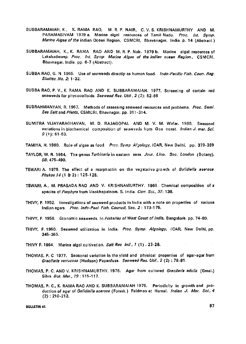- SUBBARAMAIAH, K., K. RAMA RAO, M. R. P. NAIR, C. V. S. KRISHNAMURTHY AND M. PARAMASIVAM 1979 a. Marine algal resources of Tamil Nadu. Proc. Int. Symp. Marine Algae of the indian Ocean Region, CSMCRI, Bhavanagar, India. p. 14 (Abstract.)
- SUBBARAMAIAH, K., K. RAMA RAO AND M. R. P. Nair. 1979 b. Marine algal resources of Lakshadweep. Proc. Int. Symp. Marine Algae of the Indian ocean Region., CSMCRI, Bhavnagar, India, pp. 6-7 (Abstract).
- SUBBA RAO, G. N. 1965. Use of seaweeds directly as human food. Indo-Pacific Fish. Coun. Reg. Studies. No. 2: 1-32.
- SUBBA RAO, P. v., K. RAMA RAO AND K. SUBBARAMAIAH. 1977. Screening of certain red seaweeds for phycocolloids. Seaweed Res. Util, 2 (2): 82-86
- SUBRAHMANYAN, R. 1967. Methods of assessing seaweed resources and problems. Proc. Semi. Sea Salt and Plants, CSMCRI, Bhavnagar. pp. 311-314.
- SUMITRA VIJAYARAGHAVAN, M. D. RAJAGOPAL AND M. V. M. Wafer. 1980. Seasonal variations in biochemical composition of seawaads from Goa coast. Indian J. mar. Sci.  $9(1): 61.63.$
- TAMIYA, H. 1960. Role of algae as food Proc. Symp Algology, ICAR, New Delhi, pp. 379-389
- TAYLOR, W. R. 1964. The genus Turbinaria in eastern seas. Jour. Linn. Soc. London (Botany), 55:475-490.
- TEWARI A. 1975. The effect of a morphactin on the vegetativa growth of Galidiella acerosa Phykos 74(1 & 2) : 125-128.
- TEWARI, A., M. PRASADARAO AND V. KRISHNAMURTHY. 1963. Chemical composition of a species of Porphyra from Visakhapatnam. S. India. Curr. Sci., 37; 138.
- THIVY, F. 1952. Investigations of seaweed products in India with a note on properties of various Indian agars. Proc. Indo-Paci. Fish. Council, Sec. 2 : 173-175.
- THIVY, F. 1958. Economic seaweeds. In Fisheries of West Coast of India, Bangalore, pp. 74-80.
- THIVY, F. 1960. Seaweed utilization in India. Proc- Symp. Algology, ICAR, New Delhi, pp. 345-365.
- THIVY F. 1964. Marine algal cultivation. Salt Res. Ind., 1 (1) . 23-28.
- THOMAS, P. C 1977. Seasonal variation in the yield and physical properties of agar-agar from Gracilaria verrucosa (Hudson) Papenfuss. Seaweed Res. Util., 2 (2) : 78-81.
- THOMAS, P. C. AND V. KRISHNAMURTHY. 1976. Agar from cultured Gracilaria edulis (Gmel.) Silva. Bot. Mar., 19: 115-117.
- THOMAS, P. C., K. RAMA RAO AND K. SUBBARAMAIAH 1975. Periodicity in growth and production of agar of Gelidiella acerosa (Forssk.) Feldman et Hamel. Indian J. Mar. Sci., 4 (2) ; 210-212.

#### **BULLETIN 41 97**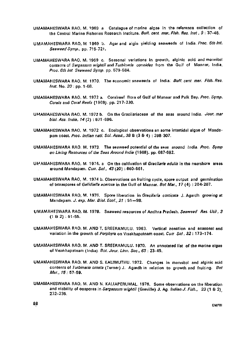- UMAMAHESWARA RAO, M. 1969 a Catalague of marine algae in the reference collection of the Central Marine Fisheries Research Institute. Bull. cent. mar. Fish. Res. Inst., 9:37-48.
- UMAMAHESWARA RAO, M 1969 b. Agar and algin yielding seaweeds of India. Proc. 6th Int. Seaweed Symp., pp. 715-721.
- UMAMAHESWARA RAO, M. 1969 c. Seasonal variations in growth, alginic acid and mannitol contents of Sargassum wightii and Turbinaria conoides from the Gulf of Mannar, India. Proc. 6th Int Seaweed Symp. pp. 579-584.
- UMAMAHESWARA RAO, M. 1970. The economic seaweeds of India. Bull. cent. mar. Fish. Res. Inst. No. 20: pp. 1-68.
- UMAMAHESWARA RAO, M. 1972 a. Coralreef flora of Gulf of Mannar and Palk Bay. Proc. Symp. Corals and Coral Reefs (1969). pp. 217-230.
- UMAMAHESWARA RAO, M. 1972 b. On the Gracilariaceae of the seas around India. Jour, mar biol. Ass. India. 14 (2) : 671 -696.
- UMAMAHESWARA RAO, M. 1972 c. Ecological observations an some intertidal algae of Mandapam coast. Proc. Indian natl. Sci. Acad., 38 B (3 & 4) : 298-307.
- UMAMAHESWARA RAO, M. 1973. The seaweed potential of the seas around India. Proc. Symp on Living Resources of the Seas Around India (1968). pp. 687-692.
- UMAMAHESWARA RAO, M. 1974. a On the cultivation of Gracilaria edulis in the nearshore areas around Mandapam. Curr. Sci., 43 (20) : 660-661.
- UMAMAHESWARA RAO, M. 1974 b. Observations on fruiting cycle, spore output and germination of tetraspores of Gelidiella acerosa in the Gulf of Mannar. Bot Mar., 17 (4) : 204-207.
- UMAMAHESWARA RAO, M. 1976. Spore liberation in Gracilaria corticata J. Agardh growing at Mandapam. J. exp. Mar. Biol. Ecol., 21 ; 91—98.
- UMAMAHESWARA RAO, M. 1978. Seaweed resources of Andhra Pradesh. Seaweed Res. Util. 3  $(1 \& 2) : 51-55.$
- UMAMAHESWARA R^O, M. AND T, SREERAMULU. 1963. Vertical zonation and seasonal and variation in the growth of Porphyra on Visakhapatnam coast, Curr Sci, 32: 173-174.
- UMAMAHESWARA RAO, M. AND T. SREERAMULU. 1970. An annotated list of the marine algae of Visakhapatnam (India). Bot. Jour. Linn. Soc., 63 : 23-45.
- UMAMAHESWARA RAO, M. AND S. KALIMUTHU. 1972. Changes in mannitol and alginic acid contents of Turbinaria ornata (Turner) J. Agardh in relation to growth and fruiting. Bot Mar., 15: 57-59.
- UMAMAHESWARA RAO, M. AND N. KALIAPERUMAL. 1976. Some observations on the liberation and viability of oospores in Sargassum wightii (Greville) J. Ag. Indian J. Fish., 23 (1 & 2). 232-235.